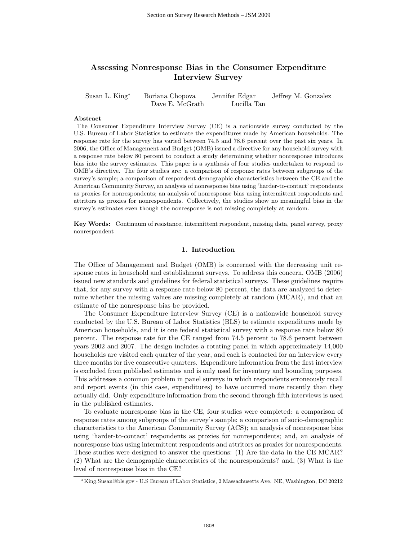# Assessing Nonresponse Bias in the Consumer Expenditure Interview Survey

| Susan L. King $*$ | Boriana Chopova | Jennifer Edgar | Jeffrey M. Gonzalez |
|-------------------|-----------------|----------------|---------------------|
|                   | Dave E. McGrath | Lucilla Tan    |                     |

#### Abstract

The Consumer Expenditure Interview Survey (CE) is a nationwide survey conducted by the U.S. Bureau of Labor Statistics to estimate the expenditures made by American households. The response rate for the survey has varied between 74.5 and 78.6 percent over the past six years. In 2006, the Office of Management and Budget (OMB) issued a directive for any household survey with a response rate below 80 percent to conduct a study determining whether nonresponse introduces bias into the survey estimates. This paper is a synthesis of four studies undertaken to respond to OMB's directive. The four studies are: a comparison of response rates between subgroups of the survey's sample; a comparison of respondent demographic characteristics between the CE and the American Community Survey, an analysis of nonresponse bias using 'harder-to-contact' respondents as proxies for nonrespondents; an analysis of nonresponse bias using intermittent respondents and attritors as proxies for nonrespondents. Collectively, the studies show no meaningful bias in the survey's estimates even though the nonresponse is not missing completely at random.

Key Words: Continuum of resistance, intermittent respondent, missing data, panel survey, proxy nonrespondent

#### 1. Introduction

The Office of Management and Budget (OMB) is concerned with the decreasing unit response rates in household and establishment surveys. To address this concern, OMB (2006) issued new standards and guidelines for federal statistical surveys. These guidelines require that, for any survey with a response rate below 80 percent, the data are analyzed to determine whether the missing values are missing completely at random (MCAR), and that an estimate of the nonresponse bias be provided.

The Consumer Expenditure Interview Survey (CE) is a nationwide household survey conducted by the U.S. Bureau of Labor Statistics (BLS) to estimate expenditures made by American households, and it is one federal statistical survey with a response rate below 80 percent. The response rate for the CE ranged from 74.5 percent to 78.6 percent between years 2002 and 2007. The design includes a rotating panel in which approximately 14,000 households are visited each quarter of the year, and each is contacted for an interview every three months for five consecutive quarters. Expenditure information from the first interview is excluded from published estimates and is only used for inventory and bounding purposes. This addresses a common problem in panel surveys in which respondents erroneously recall and report events (in this case, expenditures) to have occurred more recently than they actually did. Only expenditure information from the second through fifth interviews is used in the published estimates.

To evaluate nonresponse bias in the CE, four studies were completed: a comparison of response rates among subgroups of the survey's sample; a comparison of socio-demographic characteristics to the American Community Survey (ACS); an analysis of nonresponse bias using 'harder-to-contact' respondents as proxies for nonrespondents; and, an analysis of nonresponse bias using intermittent respondents and attritors as proxies for nonrespondents. These studies were designed to answer the questions: (1) Are the data in the CE MCAR? (2) What are the demographic characteristics of the nonrespondents? and, (3) What is the level of nonresponse bias in the CE?

<sup>∗</sup>King.Susan@bls.gov - U.S Bureau of Labor Statistics, 2 Massachusetts Ave. NE, Washington, DC 20212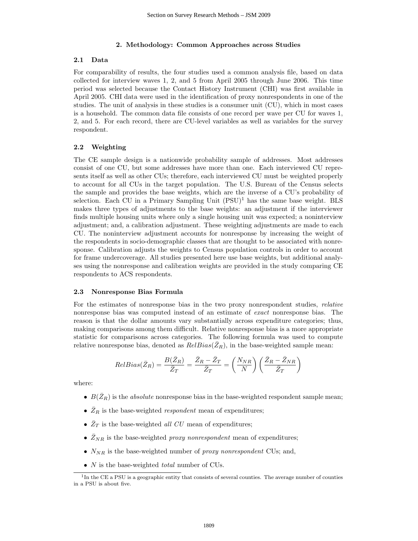## 2. Methodology: Common Approaches across Studies

# 2.1 Data

For comparability of results, the four studies used a common analysis file, based on data collected for interview waves 1, 2, and 5 from April 2005 through June 2006. This time period was selected because the Contact History Instrument (CHI) was first available in April 2005. CHI data were used in the identification of proxy nonrespondents in one of the studies. The unit of analysis in these studies is a consumer unit (CU), which in most cases is a household. The common data file consists of one record per wave per CU for waves 1, 2, and 5. For each record, there are CU-level variables as well as variables for the survey respondent.

### 2.2 Weighting

The CE sample design is a nationwide probability sample of addresses. Most addresses consist of one CU, but some addresses have more than one. Each interviewed CU represents itself as well as other CUs; therefore, each interviewed CU must be weighted properly to account for all CUs in the target population. The U.S. Bureau of the Census selects the sample and provides the base weights, which are the inverse of a CU's probability of selection. Each CU in a Primary Sampling Unit  $(PSU)^1$  has the same base weight. BLS makes three types of adjustments to the base weights: an adjustment if the interviewer finds multiple housing units where only a single housing unit was expected; a noninterview adjustment; and, a calibration adjustment. These weighting adjustments are made to each CU. The noninterview adjustment accounts for nonresponse by increasing the weight of the respondents in socio-demographic classes that are thought to be associated with nonresponse. Calibration adjusts the weights to Census population controls in order to account for frame undercoverage. All studies presented here use base weights, but additional analyses using the nonresponse and calibration weights are provided in the study comparing CE respondents to ACS respondents.

### 2.3 Nonresponse Bias Formula

For the estimates of nonresponse bias in the two proxy nonrespondent studies, *relative* nonresponse bias was computed instead of an estimate of exact nonresponse bias. The reason is that the dollar amounts vary substantially across expenditure categories; thus, making comparisons among them difficult. Relative nonresponse bias is a more appropriate statistic for comparisons across categories. The following formula was used to compute relative nonresponse bias, denoted as  $RelBias(\bar{Z}_R)$ , in the base-weighted sample mean:

$$
RelBias(\bar{Z}_R) = \frac{B(\bar{Z}_R)}{\bar{Z}_T} = \frac{\bar{Z}_R - \bar{Z}_T}{\bar{Z}_T} = \left(\frac{N_{NR}}{N}\right) \left(\frac{\bar{Z}_R - \bar{Z}_{NR}}{\bar{Z}_T}\right)
$$

where:

- $B(Z_R)$  is the *absolute* nonresponse bias in the base-weighted respondent sample mean;
- $\bar{Z}_R$  is the base-weighted *respondent* mean of expenditures;
- $\bar{Z}_T$  is the base-weighted all CU mean of expenditures;
- $\bar{Z}_{NR}$  is the base-weighted proxy nonrespondent mean of expenditures;
- $N_{NR}$  is the base-weighted number of *proxy nonrespondent* CUs; and,
- $N$  is the base-weighted *total* number of CUs.

<sup>&</sup>lt;sup>1</sup>In the CE a PSU is a geographic entity that consists of several counties. The average number of counties in a PSU is about five.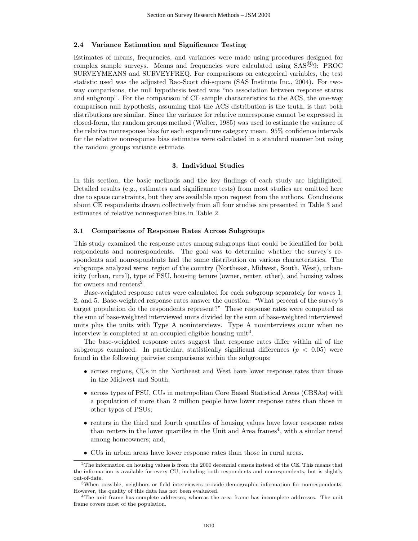### 2.4 Variance Estimation and Significance Testing

Estimates of means, frequencies, and variances were made using procedures designed for complex sample surveys. Means and frequencies were calculated using  $SAS^{\textcircled{g}}9$ : PROC SURVEYMEANS and SURVEYFREQ. For comparisons on categorical variables, the test statistic used was the adjusted Rao-Scott chi-square (SAS Institute Inc., 2004). For twoway comparisons, the null hypothesis tested was "no association between response status and subgroup". For the comparison of CE sample characteristics to the ACS, the one-way comparison null hypothesis, assuming that the ACS distribution is the truth, is that both distributions are similar. Since the variance for relative nonresponse cannot be expressed in closed-form, the random groups method (Wolter, 1985) was used to estimate the variance of the relative nonresponse bias for each expenditure category mean. 95% confidence intervals for the relative nonresponse bias estimates were calculated in a standard manner but using the random groups variance estimate.

# 3. Individual Studies

In this section, the basic methods and the key findings of each study are highlighted. Detailed results (e.g., estimates and significance tests) from most studies are omitted here due to space constraints, but they are available upon request from the authors. Conclusions about CE respondents drawn collectively from all four studies are presented in Table 3 and estimates of relative nonresponse bias in Table 2.

## 3.1 Comparisons of Response Rates Across Subgroups

This study examined the response rates among subgroups that could be identified for both respondents and nonrespondents. The goal was to determine whether the survey's respondents and nonrespondents had the same distribution on various characteristics. The subgroups analyzed were: region of the country (Northeast, Midwest, South, West), urbanicity (urban, rural), type of PSU, housing tenure (owner, renter, other), and housing values for owners and renters<sup>2</sup>.

Base-weighted response rates were calculated for each subgroup separately for waves 1, 2, and 5. Base-weighted response rates answer the question: "What percent of the survey's target population do the respondents represent?" These response rates were computed as the sum of base-weighted interviewed units divided by the sum of base-weighted interviewed units plus the units with Type A noninterviews. Type A noninterviews occur when no interview is completed at an occupied eligible housing unit<sup>3</sup>.

The base-weighted response rates suggest that response rates differ within all of the subgroups examined. In particular, statistically significant differences ( $p < 0.05$ ) were found in the following pairwise comparisons within the subgroups:

- across regions, CUs in the Northeast and West have lower response rates than those in the Midwest and South;
- across types of PSU, CUs in metropolitan Core Based Statistical Areas (CBSAs) with a population of more than 2 million people have lower response rates than those in other types of PSUs;
- renters in the third and fourth quartiles of housing values have lower response rates than renters in the lower quartiles in the Unit and Area frames<sup>4</sup>, with a similar trend among homeowners; and,
- CUs in urban areas have lower response rates than those in rural areas.

 $2$ The information on housing values is from the 2000 decennial census instead of the CE. This means that the information is available for every CU, including both respondents and nonrespondents, but is slightly out-of-date.

<sup>&</sup>lt;sup>3</sup>When possible, neighbors or field interviewers provide demographic information for nonrespondents. However, the quality of this data has not been evaluated.

<sup>4</sup>The unit frame has complete addresses, whereas the area frame has incomplete addresses. The unit frame covers most of the population.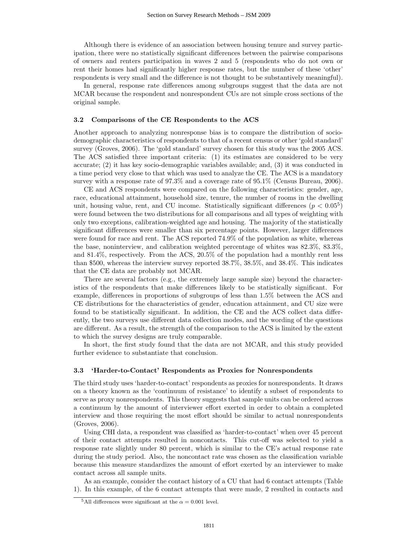Although there is evidence of an association between housing tenure and survey participation, there were no statistically significant differences between the pairwise comparisons of owners and renters participation in waves 2 and 5 (respondents who do not own or rent their homes had significantly higher response rates, but the number of these 'other' respondents is very small and the difference is not thought to be substantively meaningful).

In general, response rate differences among subgroups suggest that the data are not MCAR because the respondent and nonrespondent CUs are not simple cross sections of the original sample.

### 3.2 Comparisons of the CE Respondents to the ACS

Another approach to analyzing nonresponse bias is to compare the distribution of sociodemographic characteristics of respondents to that of a recent census or other 'gold standard' survey (Groves, 2006). The 'gold standard' survey chosen for this study was the 2005 ACS. The ACS satisfied three important criteria: (1) its estimates are considered to be very accurate; (2) it has key socio-demographic variables available; and, (3) it was conducted in a time period very close to that which was used to analyze the CE. The ACS is a mandatory survey with a response rate of 97.3% and a coverage rate of 95.1% (Census Bureau, 2006).

CE and ACS respondents were compared on the following characteristics: gender, age, race, educational attainment, household size, tenure, the number of rooms in the dwelling unit, housing value, rent, and CU income. Statistically significant differences  $(p < 0.05<sup>5</sup>)$ were found between the two distributions for all comparisons and all types of weighting with only two exceptions, calibration-weighted age and housing. The majority of the statistically significant differences were smaller than six percentage points. However, larger differences were found for race and rent. The ACS reported 74.9% of the population as white, whereas the base, noninterview, and calibration weighted percentage of whites was 82.3%, 83.3%, and 81.4%, respectively. From the ACS, 20.5% of the population had a monthly rent less than \$500, whereas the interview survey reported 38.7%, 38.5%, and 38.4%. This indicates that the CE data are probably not MCAR.

There are several factors (e.g., the extremely large sample size) beyond the characteristics of the respondents that make differences likely to be statistically significant. For example, differences in proportions of subgroups of less than 1.5% between the ACS and CE distributions for the characteristics of gender, education attainment, and CU size were found to be statistically significant. In addition, the CE and the ACS collect data differently, the two surveys use different data collection modes, and the wording of the questions are different. As a result, the strength of the comparison to the ACS is limited by the extent to which the survey designs are truly comparable.

In short, the first study found that the data are not MCAR, and this study provided further evidence to substantiate that conclusion.

### 3.3 'Harder-to-Contact' Respondents as Proxies for Nonrespondents

The third study uses 'harder-to-contact' respondents as proxies for nonrespondents. It draws on a theory known as the 'continuum of resistance' to identify a subset of respondents to serve as proxy nonrespondents. This theory suggests that sample units can be ordered across a continuum by the amount of interviewer effort exerted in order to obtain a completed interview and those requiring the most effort should be similar to actual nonrespondents (Groves, 2006).

Using CHI data, a respondent was classified as 'harder-to-contact' when over 45 percent of their contact attempts resulted in noncontacts. This cut-off was selected to yield a response rate slightly under 80 percent, which is similar to the CE's actual response rate during the study period. Also, the noncontact rate was chosen as the classification variable because this measure standardizes the amount of effort exerted by an interviewer to make contact across all sample units.

As an example, consider the contact history of a CU that had 6 contact attempts (Table 1). In this example, of the 6 contact attempts that were made, 2 resulted in contacts and

<sup>&</sup>lt;sup>5</sup>All differences were significant at the  $\alpha = 0.001$  level.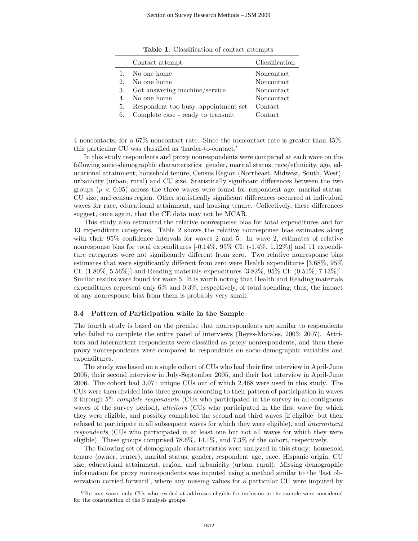|    | Contact attempt                      | Classification |
|----|--------------------------------------|----------------|
|    | No one home                          | Noncontact     |
| 2. | No one home                          | Noncontact     |
| 3. | Got answering machine/service        | Noncontact     |
| 4. | No one home                          | Noncontact     |
| 5. | Respondent too busy, appointment set | Contact        |
| 6. | Complete case - ready to transmit    | Contact        |

Table 1: Classification of contact attempts

4 noncontacts, for a 67% noncontact rate. Since the noncontact rate is greater than 45%, this particular CU was classified as 'harder-to-contact.'

In this study respondents and proxy nonrespondents were compared at each wave on the following socio-demographic characteristics: gender, marital status, race/ethnicity, age, educational attainment, household tenure, Census Region (Northeast, Midwest, South, West), urbanicity (urban, rural) and CU size. Statistically significant differences between the two groups  $(p < 0.05)$  across the three waves were found for respondent age, marital status, CU size, and census region. Other statistically significant differences occurred at individual waves for race, educational attainment, and housing tenure. Collectively, these differences suggest, once again, that the CE data may not be MCAR.

This study also estimated the relative nonresponse bias for total expenditures and for 13 expenditure categories. Table 2 shows the relative nonresponse bias estimates along with their 95% confidence intervals for waves 2 and 5. In wave 2, estimates of relative nonresponse bias for total expenditures  $[-0.14\%, 95\% \text{ CI}$ :  $(-1.4\%, 1.12\%)]$  and 11 expenditure categories were not significantly different from zero. Two relative nonresponse bias estimates that were significantly different from zero were Health expenditures [3.68%, 95% CI:  $(1.80\%, 5.56\%)$  and Reading materials expenditures [3.82\%, 95\% CI:  $(0.51\%, 7.13\%)$ ]. Similar results were found for wave 5. It is worth noting that Health and Reading materials expenditures represent only 6% and 0.3%, respectively, of total spending; thus, the impact of any nonresponse bias from them is probably very small.

#### 3.4 Pattern of Participation while in the Sample

The fourth study is based on the premise that nonrespondents are similar to respondents who failed to complete the entire panel of interviews (Reyes-Morales, 2003; 2007). Attritors and intermittent respondents were classified as proxy nonrespondents, and then these proxy nonrespondents were compared to respondents on socio-demographic variables and expenditures.

The study was based on a single cohort of CUs who had their first interview in April-June 2005, their second interview in July-September 2005, and their last interview in April-June 2006. The cohort had 3,071 unique CUs out of which 2,468 were used in this study. The CUs were then divided into three groups according to their pattern of participation in waves 2 through  $5^6$ : *complete respondents* (CUs who participated in the survey in all contiguous waves of the survey period), *attritors* (CUs who participated in the first wave for which they were eligible, and possibly completed the second and third waves [if eligible] but then refused to participate in all subsequent waves for which they were eligible), and intermittent respondents (CUs who participated in at least one but not all waves for which they were eligible). These groups comprised 78.6%, 14.1%, and 7.3% of the cohort, respectively.

The following set of demographic characteristics were analyzed in this study: household tenure (owner, renter), marital status, gender, respondent age, race, Hispanic origin, CU size, educational attainment, region, and urbanicity (urban, rural). Missing demographic information for proxy nonrespondents was imputed using a method similar to the 'last observation carried forward', where any missing values for a particular CU were imputed by

<sup>6</sup>For any wave, only CUs who resided at addresses eligible for inclusion in the sample were considered for the construction of the 3 analysis groups.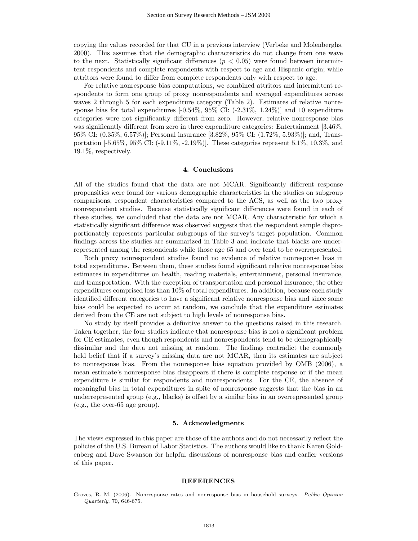copying the values recorded for that CU in a previous interview (Verbeke and Molenberghs, 2000). This assumes that the demographic characteristics do not change from one wave to the next. Statistically significant differences  $(p < 0.05)$  were found between intermittent respondents and complete respondents with respect to age and Hispanic origin; while attritors were found to differ from complete respondents only with respect to age.

For relative nonresponse bias computations, we combined attritors and intermittent respondents to form one group of proxy nonrespondents and averaged expenditures across waves 2 through 5 for each expenditure category (Table 2). Estimates of relative nonresponse bias for total expenditures  $[-0.54\%, 95\% \text{ CI: } (-2.31\%, 1.24\%)]$  and 10 expenditure categories were not significantly different from zero. However, relative nonresponse bias was significantly different from zero in three expenditure categories: Entertainment [3.46%, 95% CI: (0.35%, 6.57%)]; Personal insurance [3.82%, 95% CI: (1.72%, 5.93%)]; and, Transportation [-5.65%, 95% CI: (-9.11%, -2.19%)]. These categories represent 5.1%, 10.3%, and 19.1%, respectively.

### 4. Conclusions

All of the studies found that the data are not MCAR. Significantly different response propensities were found for various demographic characteristics in the studies on subgroup comparisons, respondent characteristics compared to the ACS, as well as the two proxy nonrespondent studies. Because statistically significant differences were found in each of these studies, we concluded that the data are not MCAR. Any characteristic for which a statistically significant difference was observed suggests that the respondent sample disproportionately represents particular subgroups of the survey's target population. Common findings across the studies are summarized in Table 3 and indicate that blacks are underrepresented among the respondents while those age 65 and over tend to be overrepresented.

Both proxy nonrespondent studies found no evidence of relative nonresponse bias in total expenditures. Between them, these studies found significant relative nonresponse bias estimates in expenditures on health, reading materials, entertainment, personal insurance, and transportation. With the exception of transportation and personal insurance, the other expenditures comprised less than 10% of total expenditures. In addition, because each study identified different categories to have a significant relative nonresponse bias and since some bias could be expected to occur at random, we conclude that the expenditure estimates derived from the CE are not subject to high levels of nonresponse bias.

No study by itself provides a definitive answer to the questions raised in this research. Taken together, the four studies indicate that nonresponse bias is not a significant problem for CE estimates, even though respondents and nonrespondents tend to be demographically dissimilar and the data not missing at random. The findings contradict the commonly held belief that if a survey's missing data are not MCAR, then its estimates are subject to nonresponse bias. From the nonresponse bias equation provided by OMB (2006), a mean estimate's nonresponse bias disappears if there is complete response or if the mean expenditure is similar for respondents and nonrespondents. For the CE, the absence of meaningful bias in total expenditures in spite of nonresponse suggests that the bias in an underrepresented group (e.g., blacks) is offset by a similar bias in an overrepresented group (e.g., the over-65 age group).

### 5. Acknowledgments

The views expressed in this paper are those of the authors and do not necessarily reflect the policies of the U.S. Bureau of Labor Statistics. The authors would like to thank Karen Goldenberg and Dave Swanson for helpful discussions of nonresponse bias and earlier versions of this paper.

### REFERENCES

Groves, R. M. (2006). Nonresponse rates and nonresponse bias in household surveys. Public Opinion Quarterly, 70, 646-675.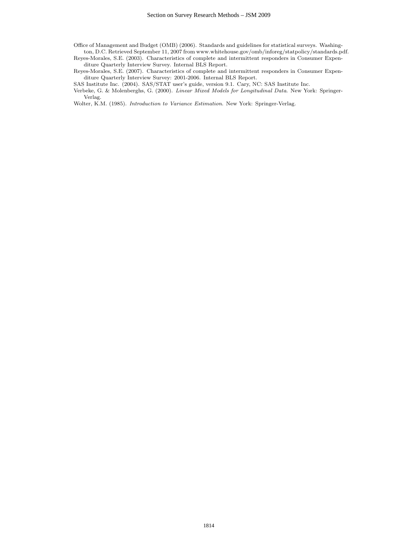Office of Management and Budget (OMB) (2006). Standards and guidelines for statistical surveys. Washington, D.C. Retrieved September 11, 2007 from www.whitehouse.gov/omb/inforeg/statpolicy/standards.pdf.

Reyes-Morales, S.E. (2003). Characteristics of complete and intermittent responders in Consumer Expenditure Quarterly Interview Survey. Internal BLS Report.

Reyes-Morales, S.E. (2007). Characteristics of complete and intermittent responders in Consumer Expenditure Quarterly Interview Survey: 2001-2006. Internal BLS Report.

SAS Institute Inc. (2004). SAS/STAT user's guide, version 9.1. Cary, NC: SAS Institute Inc.

Verbeke, G. & Molenberghs, G. (2000). Linear Mixed Models for Longitudinal Data. New York: Springer-Verlag.

Wolter, K.M. (1985). Introduction to Variance Estimation. New York: Springer-Verlag.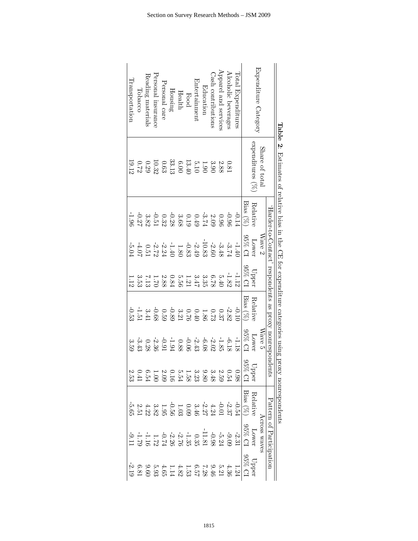|                      | <b>Table 2</b> : Estimates of relative bias in the CE for expenditure categories using proxy nonrespondents |                                                                                                                                                                                                                                                                |                                                                                                    |                                                     |                                                                                                                                                 |         |                                       |                                                                                                                                                                                                                                                                                                                                                                                                                                                               |                                                                                                                                                                                                                                                                                                                                                                                                                                                               |                                      |
|----------------------|-------------------------------------------------------------------------------------------------------------|----------------------------------------------------------------------------------------------------------------------------------------------------------------------------------------------------------------------------------------------------------------|----------------------------------------------------------------------------------------------------|-----------------------------------------------------|-------------------------------------------------------------------------------------------------------------------------------------------------|---------|---------------------------------------|---------------------------------------------------------------------------------------------------------------------------------------------------------------------------------------------------------------------------------------------------------------------------------------------------------------------------------------------------------------------------------------------------------------------------------------------------------------|---------------------------------------------------------------------------------------------------------------------------------------------------------------------------------------------------------------------------------------------------------------------------------------------------------------------------------------------------------------------------------------------------------------------------------------------------------------|--------------------------------------|
|                      |                                                                                                             |                                                                                                                                                                                                                                                                |                                                                                                    |                                                     | Harder-to-Contactive as proxy nonrespondents as proxy nonrespond                                                                                |         | lents                                 |                                                                                                                                                                                                                                                                                                                                                                                                                                                               | Pattern of Participation                                                                                                                                                                                                                                                                                                                                                                                                                                      |                                      |
|                      | Share of total                                                                                              |                                                                                                                                                                                                                                                                | Wave 2                                                                                             |                                                     |                                                                                                                                                 | Wave 5  |                                       |                                                                                                                                                                                                                                                                                                                                                                                                                                                               | Across wave                                                                                                                                                                                                                                                                                                                                                                                                                                                   |                                      |
| Expenditure Category | expenditures (%)                                                                                            | Relative                                                                                                                                                                                                                                                       | Гомет                                                                                              | Upper                                               | Relative                                                                                                                                        | гэмот   |                                       |                                                                                                                                                                                                                                                                                                                                                                                                                                                               |                                                                                                                                                                                                                                                                                                                                                                                                                                                               |                                      |
|                      |                                                                                                             | Bias $(\%)$                                                                                                                                                                                                                                                    | 10 % CI                                                                                            | 10 % CI                                             | Bias $(\%)$                                                                                                                                     | 05% CI  | $\frac{\text{Upper}}{\text{95\% CI}}$ | $\begin{array}{c} \text{Eqs} \\ \text{Eqs} \\ \text{Sqs} \\ \text{Sqs} \\ \text{Sqs} \\ \text{Sqs} \\ \text{Sqs} \\ \text{Sqs} \\ \text{Sqs} \\ \text{Sqs} \\ \text{Sqs} \\ \text{Sqs} \\ \text{Sqs} \\ \text{Sqs} \\ \text{Sqs} \\ \text{Sqs} \\ \text{Sqs} \\ \text{Sqs} \\ \text{Sqs} \\ \text{Sqs} \\ \text{Sqs} \\ \text{Sqs} \\ \text{Sqs} \\ \text{Sqs} \\ \text{Sqs} \\ \text{Sqs} \\ \text{Sqs} \\ \text{Sqs} \\ \text{Sqs} \\ \text{Sqs} \\ \text{$ | $\begin{array}{l} \text{COS} \\ \text{DOS} \\ \text{DOS} \\ \text{DOS} \\ \text{DOS} \\ \text{DOS} \\ \text{DOS} \\ \text{DOS} \\ \text{DOS} \\ \text{DOS} \\ \text{DOS} \\ \text{DOS} \\ \text{DOS} \\ \text{DOS} \\ \text{DOS} \\ \text{DOS} \\ \text{DOS} \\ \text{DOS} \\ \text{DOS} \\ \text{DOS} \\ \text{DOS} \\ \text{DOS} \\ \text{DOS} \\ \text{DOS} \\ \text{DOS} \\ \text{DOS} \\ \text{DOS} \\ \text{DOS} \\ \text{DOS} \\ \text{DOS} \\ \text{$ | $10\,\mathrm{pc}$ CI $_\mathrm{ref}$ |
| l'otal Expenditures  |                                                                                                             | $-0.14$                                                                                                                                                                                                                                                        | $-1.40$                                                                                            | $-1.12$                                             | $-0.10$                                                                                                                                         | $-1.18$ |                                       |                                                                                                                                                                                                                                                                                                                                                                                                                                                               |                                                                                                                                                                                                                                                                                                                                                                                                                                                               |                                      |
| Alcoholic beverages  | 0.81                                                                                                        | $-0.96$                                                                                                                                                                                                                                                        |                                                                                                    |                                                     | $-2.82$                                                                                                                                         |         |                                       |                                                                                                                                                                                                                                                                                                                                                                                                                                                               |                                                                                                                                                                                                                                                                                                                                                                                                                                                               |                                      |
| Apparel and services | $2.88\,$                                                                                                    | 96.0                                                                                                                                                                                                                                                           | $-3.48$<br>$-2.60$                                                                                 | $-1.82$<br>$-1.82$<br>$-1.34$<br>$-1.34$<br>$-1.34$ |                                                                                                                                                 |         |                                       |                                                                                                                                                                                                                                                                                                                                                                                                                                                               |                                                                                                                                                                                                                                                                                                                                                                                                                                                               |                                      |
| ash contributions    |                                                                                                             |                                                                                                                                                                                                                                                                |                                                                                                    |                                                     |                                                                                                                                                 |         |                                       |                                                                                                                                                                                                                                                                                                                                                                                                                                                               |                                                                                                                                                                                                                                                                                                                                                                                                                                                               |                                      |
| Education            | $\begin{array}{c} 3.90 \\ 1.90 \\ 5.10 \end{array}$                                                         | $\begin{array}{l} 2\,0\,4\,9\\ 2\,0\,4\,9\\ 4\,9\,0\\ 8\,8\,8\\ 0\,3\,9\\ 0\,3\,9\\ 0\,4\,9\\ 0\,3\,8\\ 0\,4\,9\\ 0\,3\,9\\ 0\,3\,9\\ 0\,3\,9\\ 0\,3\,9\\ 0\,3\,9\\ 0\,3\,9\\ 0\,3\,9\\ 0\,3\,9\\ 0\,3\,9\\ 0\,3\,9\\ 0\,3\,9\\ 0\,3\,9\\ 0\,3\,9\\ 0\,3\,9\\$ | $-10.83$                                                                                           |                                                     | $\begin{array}{rrrr} 0.37 & 0.01 & 0.01 \\ 0.01 & 0.01 & 0.01 \\ 0.01 & 0.01 & 0.01 \\ 0.01 & 0.01 & 0.02 \\ 0.01 & 0.01 & 0.02 \\ \end{array}$ |         |                                       |                                                                                                                                                                                                                                                                                                                                                                                                                                                               |                                                                                                                                                                                                                                                                                                                                                                                                                                                               |                                      |
| <b>Entertainment</b> |                                                                                                             |                                                                                                                                                                                                                                                                |                                                                                                    |                                                     |                                                                                                                                                 |         |                                       |                                                                                                                                                                                                                                                                                                                                                                                                                                                               |                                                                                                                                                                                                                                                                                                                                                                                                                                                               |                                      |
| <b>Food</b>          |                                                                                                             |                                                                                                                                                                                                                                                                |                                                                                                    |                                                     |                                                                                                                                                 |         |                                       |                                                                                                                                                                                                                                                                                                                                                                                                                                                               |                                                                                                                                                                                                                                                                                                                                                                                                                                                               |                                      |
| <b>Health</b>        |                                                                                                             |                                                                                                                                                                                                                                                                |                                                                                                    | $1.21\phantom{0}$                                   |                                                                                                                                                 |         |                                       |                                                                                                                                                                                                                                                                                                                                                                                                                                                               |                                                                                                                                                                                                                                                                                                                                                                                                                                                               |                                      |
| Housing              |                                                                                                             |                                                                                                                                                                                                                                                                |                                                                                                    | $0.84\,$                                            |                                                                                                                                                 |         |                                       |                                                                                                                                                                                                                                                                                                                                                                                                                                                               |                                                                                                                                                                                                                                                                                                                                                                                                                                                               |                                      |
| Personal care        |                                                                                                             |                                                                                                                                                                                                                                                                |                                                                                                    |                                                     |                                                                                                                                                 |         |                                       |                                                                                                                                                                                                                                                                                                                                                                                                                                                               |                                                                                                                                                                                                                                                                                                                                                                                                                                                               |                                      |
| Personal insurance   |                                                                                                             |                                                                                                                                                                                                                                                                |                                                                                                    |                                                     |                                                                                                                                                 |         |                                       |                                                                                                                                                                                                                                                                                                                                                                                                                                                               |                                                                                                                                                                                                                                                                                                                                                                                                                                                               |                                      |
| Reading materials    | $\begin{array}{l} 13.4 \\ 6.00 \\ 0.63 \\ 0.32 \\ 0.29 \\ 0.72 \\ 0.72 \\ \end{array}$                      | $3.82\,$                                                                                                                                                                                                                                                       | $-3$ 49<br>$-3$ 63<br>$-1$<br>$-1$<br>$-3$<br>$-1$<br>$-3$<br>$-1$<br>$-1$<br>$-1$<br>$-1$<br>$-1$ | $\begin{array}{c} 2.88 \\ 1.13 \\ 2.53 \end{array}$ | $-0.68$<br>$-3.41$                                                                                                                              |         |                                       |                                                                                                                                                                                                                                                                                                                                                                                                                                                               |                                                                                                                                                                                                                                                                                                                                                                                                                                                               |                                      |
| Tobacco              |                                                                                                             | $-0.27$                                                                                                                                                                                                                                                        |                                                                                                    |                                                     |                                                                                                                                                 |         |                                       |                                                                                                                                                                                                                                                                                                                                                                                                                                                               |                                                                                                                                                                                                                                                                                                                                                                                                                                                               |                                      |
| Iransportation       | 19.15                                                                                                       | $-1.96$                                                                                                                                                                                                                                                        | $-5.04$                                                                                            | 1.12                                                | -0.<br>ದ                                                                                                                                        | 3.59    |                                       |                                                                                                                                                                                                                                                                                                                                                                                                                                                               |                                                                                                                                                                                                                                                                                                                                                                                                                                                               |                                      |
|                      |                                                                                                             |                                                                                                                                                                                                                                                                |                                                                                                    |                                                     |                                                                                                                                                 |         |                                       |                                                                                                                                                                                                                                                                                                                                                                                                                                                               |                                                                                                                                                                                                                                                                                                                                                                                                                                                               |                                      |

| j                                                                                                                                                                                                                              |
|--------------------------------------------------------------------------------------------------------------------------------------------------------------------------------------------------------------------------------|
|                                                                                                                                                                                                                                |
|                                                                                                                                                                                                                                |
| $\frac{1}{2}$                                                                                                                                                                                                                  |
|                                                                                                                                                                                                                                |
|                                                                                                                                                                                                                                |
| ì                                                                                                                                                                                                                              |
|                                                                                                                                                                                                                                |
|                                                                                                                                                                                                                                |
| こと Christophers Chronicle Hart Christian Christian Christian Cool<br>リリン ニュニューション こくりょう<br>5<br>2<br>1<br>1<br>1<br>1<br>1<br>1<br>1<br>1<br>1<br>1<br>1<br>1<br>1<br>1<br>                                                    |
| i<br>S<br>i                                                                                                                                                                                                                    |
| Communications of the communications of the communications of the communications of the communications of the communications of the communications of the communications of the communications of the communications of the co |
|                                                                                                                                                                                                                                |
|                                                                                                                                                                                                                                |
|                                                                                                                                                                                                                                |
| monday and the contract of<br>)<br>7<br>バリー・ショー しんしょう しょうしゃ<br>$\frac{1}{2}$<br>ī<br>ì                                                                                                                                         |